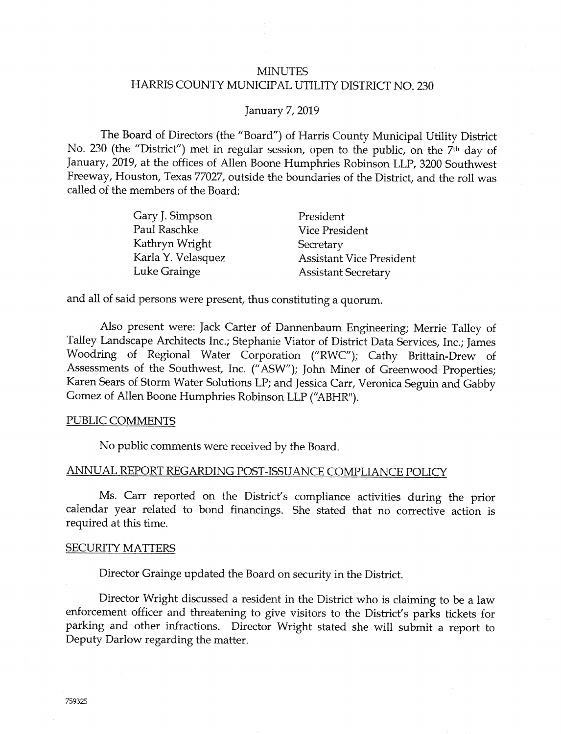# **MINUTES** HARRIS COUNTY MUNICIPAL UTILITY DISTRICT NO. 230

#### **January 7, 2019**

The Board of Directors (the "Board") of Harris County Municipal Utility District No. 230 (the "District") met in regular session, open to the public, on the 7<sup>th</sup> day of January, 2019, at the offices of Allen Boone Humphries Robinson LLP, 3200 Southwest Freeway, Houston, Texas 77027, outside the boundaries of the District, and the roll was called of the members of the Board:

| Gary J. Simpson    | President                       |
|--------------------|---------------------------------|
| Paul Raschke       | <b>Vice President</b>           |
| Kathryn Wright     | Secretary                       |
| Karla Y. Velasquez | <b>Assistant Vice President</b> |
| Luke Grainge       | <b>Assistant Secretary</b>      |

and all of said persons were present, thus constituting a quorum.

Also present were: Jack Carter of Dannenbaum Engineering; Merrie Talley of Talley Landscape Architects Inc.; Stephanie Viator of District Data Services, Inc.; James Woodring of Regional Water Corporation ("RWC"); Cathy Brittain-Drew of Assessments of the Southwest, Inc. ("ASW"); John Miner of Greenwood Properties; Karen Sears of Storm Water Solutions LP; and Jessica Carr, Veronica Seguin and Gabby Gomez of Allen Boone Humphries Robinson LLP ("ABHR").

#### PUBLIC COMMENTS

No public comments were received by the Board.

### ANNUAL REPORT REGARDING POST-ISSUANCE COMPLIANCE POLICY

Ms. Carr reported on the District's compliance activities during the prior calendar year related to bond financings. She stated that no corrective action is required at this time.

#### **SECURITY MATTERS**

Director Grainge updated the Board on security in the District.

Director Wright discussed a resident in the District who is claiming to be a law enforcement officer and threatening to give visitors to the District's parks tickets for parking and other infractions. Director Wright stated she will submit a report to Deputy Darlow regarding the matter.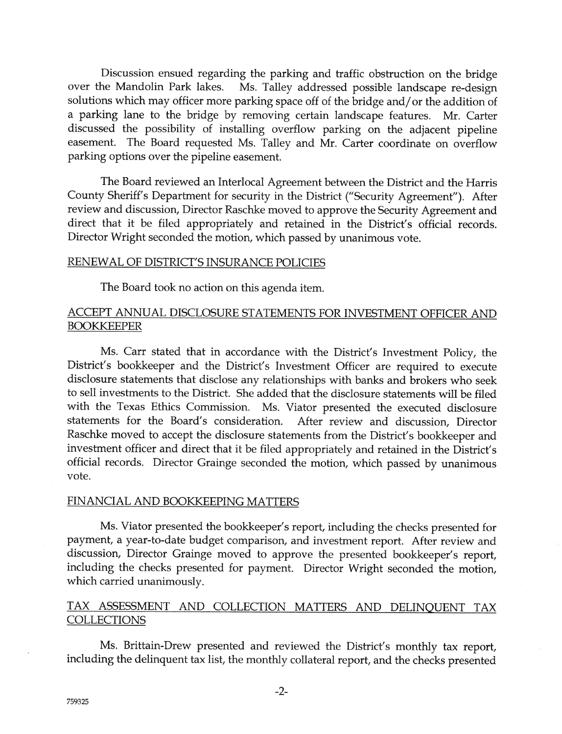Discussion ensued regarding the parking and traffic obstruction on the bridge over the Mandolin Park lakes. Ms. Talley addressed possible landscape re-design solutions which may officer more parking space off of the bridge and/or the addition of a parking lane to the bridge by removing certain landscape features. Mr. Carter discussed the possibility of installing overflow parking on the adjacent pipeline easement. The Board requested Ms. Talley and Mr. Carter coordinate on overflow parking options over the pipeline easement.

The Board reviewed an Interlocal Agreement between the District and the Harris County Sheriff's Department for security in the District ("Security Agreement"). After review and discussion, Director Raschke moved to approve the Security Agreement and direct that it be filed appropriately and retained in the District's official records. Director Wright seconded the motion, which passed by unanimous vote.

# <u>AL OF DISTRICT'S INSURANCE POLI</u>

The Board took no action on this agenda item.

# ACCEPT ANNUAL DISCLOSURE STATEMENTS FOR INVESTMENT OFFICER AND **BOOKKEEPER**

Ms. Carr stated that in accordance with the District's Investment Policy, the District's bookkeeper and the District's Investment Officer are required to execute disclosure statements that disclose any relationships with banks and brokers who seek to sell investments to the District. She added that the disclosure statements will be filed with the Texas Ethics Commission. Ms. Viator presented the executed disclosure statements for the Board's consideration. After review and discussion, Director Raschke moved to accept the disclosure statements from the District's bookkeeper and investment of{icer and direct that it be filed appropriately and retained in the Disfrict's official records. Director Grainge seconded the motion, which passed by unanimous vote.

### FINANCIAL AND BOOKKEEPING MATTERS

Ms. Viator presented the bookkeeper's report, including the checks presented for payment, a year-to-date budget comparison, and investment report. After review and discussion, Director Grainge moved to approve the presented bookkeeper's report, including the checks presented for payment. Director Wright seconded the motion, which carried unanimously.

# TAX ASSESSMENT AND COLLECTION MATTERS AND DELINQUENT TAX **COLLECTIONS**

Ms. Brittain-Drew presented and reviewed the District's monthly tax report, including the delinquent tax list, the monthly collateral report, and the checks presented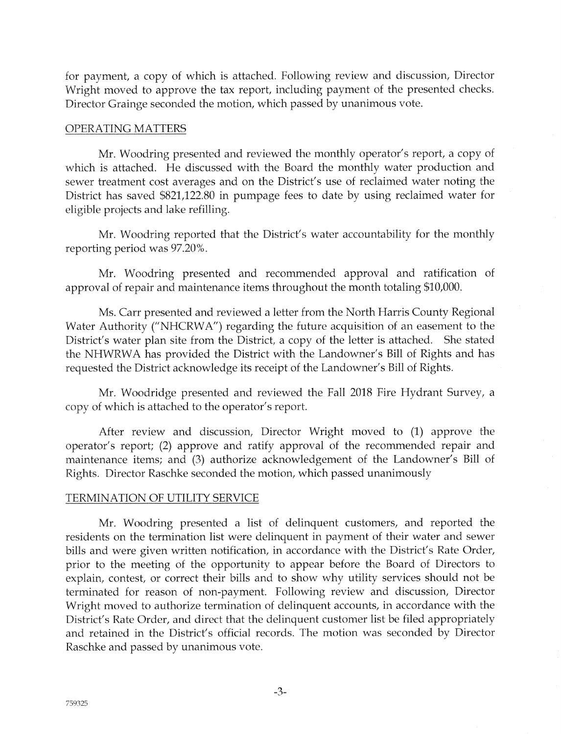for payment, a copy of which is attached. Following review and discussion, Director Wright moved to approve the tax report, including payment of the presented checks. Director Grainge seconded the motion, which passed by unanimous vote.

### OPERATING MATTERS

Mr. Woodring presented and reviewed the monthly operator's report, a copy of which is attached. He discussed with the Board the monthly water production and sewer treatment cost averages and on the District's use of reclaimed water noting the District has saved \$821,122.80 in pumpage {ees to date by using reclaimed water for eligible projects and lake reiilling.

Mr. Woodring reported that the District's water accountability for the monthly reporting period was 97.20%.

Mr. Woodring presented and recommended approval and ratification of approval of repair and maintenance items throughout the month totaling \$10,000.

Ms. Carr presented and reviewed a letter from the North Harris County Regional Water Authority ("NHCRWA") regarding the {uture acquisition of an easement to the District's water plan site from the District, a copy of the letter is attached. She stated the NHWRWA has provided the District with the Landowner's Bill of Rights and has requested the District acknowledge its receipt of the Landowner's Bill of Rights.

Mr. Woodridge presented and reviewed the Fall 2018 Fire Hydrant Survey, a copy of which is attached to the operator's report.

After review and discussion, Director Wright moved to (1) approve the operator's report; (2) approve and ratify approval of the recommended repair and maintenance items; and (3) authorize acknowledgement of the Landowner's Bill of Rights. Director Raschke seconded the motion, which passed unanimously

# TERMINATION OF UTILITY SERVICE

Mr. Woodring presented a list of delinquent customers, and reported the residents on the termination list were delinquent in payment of their water and sewer bills and were given written notification, in accordance with the District's Rate Order, prior to the meeting of the opportunity to appear before the Board of Directors to explain, contest, or correct their bills and to show why utility services should not be terminated for reason of non-payment. Following review and discussion, Director Wright moved to authorize termination of delinquent accounts, in accordance with the District's Rate Order, and direct that the delinquent customer list be filed appropriately and retained in the District's official records. The motion was seconded by Director Raschke and passed by unanimous vote.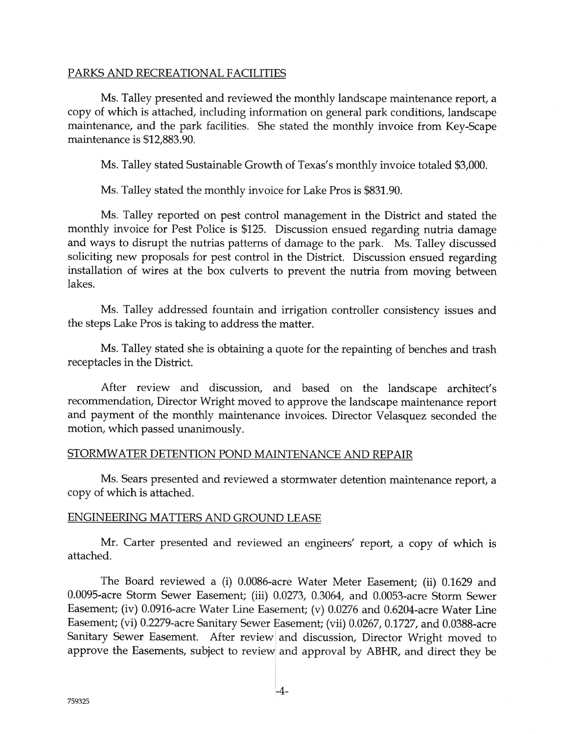#### <u>AND RECREATIONAL F</u>

Ms. Talley presented and reviewed the monthly landscape maintenance report, a copy of which is attached, including information on general park conditions, landscape maintenance, and the park facilities. She stated the monthly invoice from Key-Scape maintenance is \$12,883.90.

Ms. Talley stated Sustainable Growth of Texas's monthly invoice totaled \$3,000.

Ms. Talley stated the monthly invoice for Lake Pros is \$831.90.

Ms. Talley reported on pest control management in the District and stated the monthly invoice for Pest Police is \$125. Discussion ensued regarding nutria damage and ways to disrupt the nutrias patterns of damage to the park. Ms. Talley discussed soliciting new proposals for pest control in the District. Discussion ensued regarding installation of wires at the box culverts to prevent the nutria from moving between lakes.

Ms. Talley addressed fountain and irrigation controller consistency issues and the steps Lake Fros is taking to address the matter.

Ms. Talley stated she is obtaining a quote for the repainting of benches and trash receptacles in the District.

After review and discussion, and based on the landscape architect's recommendation, Director Wright moved to approve the landscape maintenance report and payment of the monthly maintenance invoices. Director Velasquez seconded the motion, which passed unanimously.

### STORMWATER DETENTION POND MAINTENANCE AND REPAIR

Ms. Sears presented and reviewed a stormwater detention maintenance report, a copy of which is attached.

#### ENGINEERING MATTERS AND GROUND LEASE

Mr. Carter presented and reviewed an engineers' report, a copy of which is attached.

The Board reviewed a (i) 0.0086-acre Water Meter Easement; (ii) 0.1629 and 0.0095-acre Storm Sewer Easement; (iii) 0.0273, 0.3064, and 0.0053-acre Storm Sewer Easement; (iv) 0.0916-acre Water Line Easement; (v) 0.0276 and 0.6204-acre Water Line Easement; (vi) 0.2279-acre Sanitary Sewer Easement; (vii) 0.0267, 0.1727, and 0.0388-acre Sanitary Sewer Easement. After review and discussion, Director Wright moved to approve the Easements, subject to review and approval by ABHR, and direct they be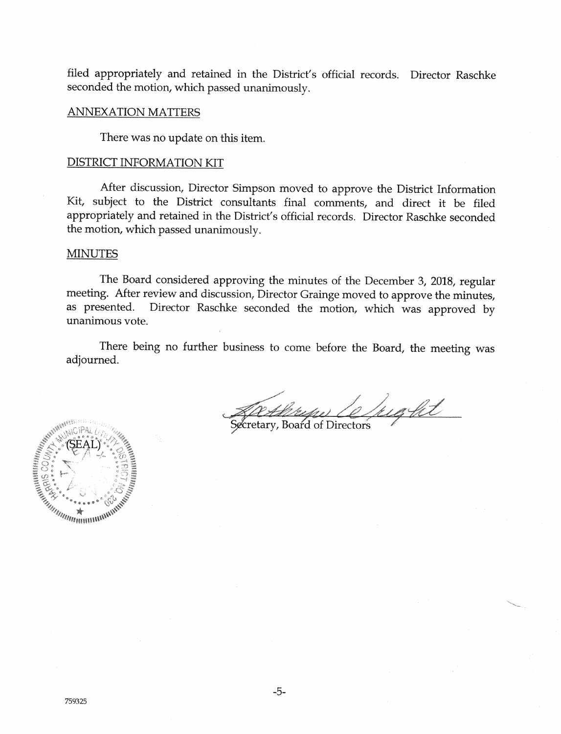filed appropriately and retained in the District's official records. Director Raschke seconded the motion, which passed unanimously.

#### **ANNEXATION MATTERS**

There was no update on this item.

#### **DISTRICT INFORMATION KIT**

After discussion, Director Simpson moved to approve the District Information Kit, subject to the District consultants final comments, and direct it be filed appropriately and retained in the District's official records. Director Raschke seconded the motion, which passed unanimously.

#### **MINUTES**

The Board considered approving the minutes of the December 3, 2018, regular meeting. After review and discussion, Director Grainge moved to approve the minutes, Director Raschke seconded the motion, which was approved by as presented. unanimous vote.

There being no further business to come before the Board, the meeting was adjourned.

elught Althropes Com